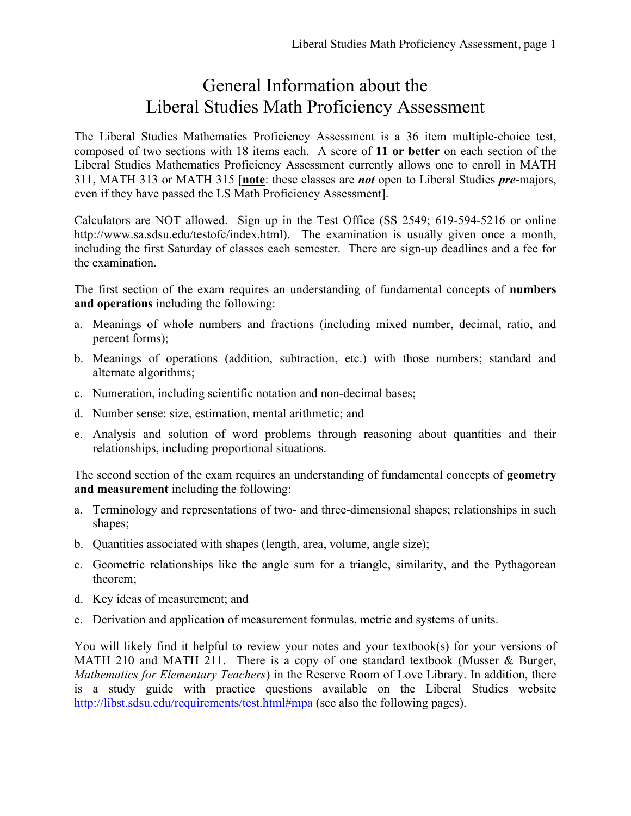## General Information about the Liberal Studies Math Proficiency Assessment

The Liberal Studies Mathematics Proficiency Assessment is a 36 item multiple-choice test, composed of two sections with 18 items each. A score of **11 or better** on each section of the Liberal Studies Mathematics Proficiency Assessment currently allows one to enroll in MATH 311, MATH 313 or MATH 315 [**note**: these classes are *not* open to Liberal Studies *pre*-majors, even if they have passed the LS Math Proficiency Assessment].

Calculators are NOT allowed. Sign up in the Test Office (SS 2549; 619-594-5216 or online http://www.sa.sdsu.edu/testofc/index.html). The examination is usually given once a month, including the first Saturday of classes each semester. There are sign-up deadlines and a fee for the examination.

The first section of the exam requires an understanding of fundamental concepts of **numbers and operations** including the following:

- a. Meanings of whole numbers and fractions (including mixed number, decimal, ratio, and percent forms);
- b. Meanings of operations (addition, subtraction, etc.) with those numbers; standard and alternate algorithms;
- c. Numeration, including scientific notation and non-decimal bases;
- d. Number sense: size, estimation, mental arithmetic; and
- e. Analysis and solution of word problems through reasoning about quantities and their relationships, including proportional situations.

The second section of the exam requires an understanding of fundamental concepts of **geometry and measurement** including the following:

- a. Terminology and representations of two- and three-dimensional shapes; relationships in such shapes;
- b. Quantities associated with shapes (length, area, volume, angle size);
- c. Geometric relationships like the angle sum for a triangle, similarity, and the Pythagorean theorem;
- d. Key ideas of measurement; and
- e. Derivation and application of measurement formulas, metric and systems of units.

You will likely find it helpful to review your notes and your textbook(s) for your versions of MATH 210 and MATH 211. There is a copy of one standard textbook (Musser & Burger, *Mathematics for Elementary Teachers*) in the Reserve Room of Love Library. In addition, there is a study guide with practice questions available on the Liberal Studies website http://libst.sdsu.edu/requirements/test.html#mpa (see also the following pages).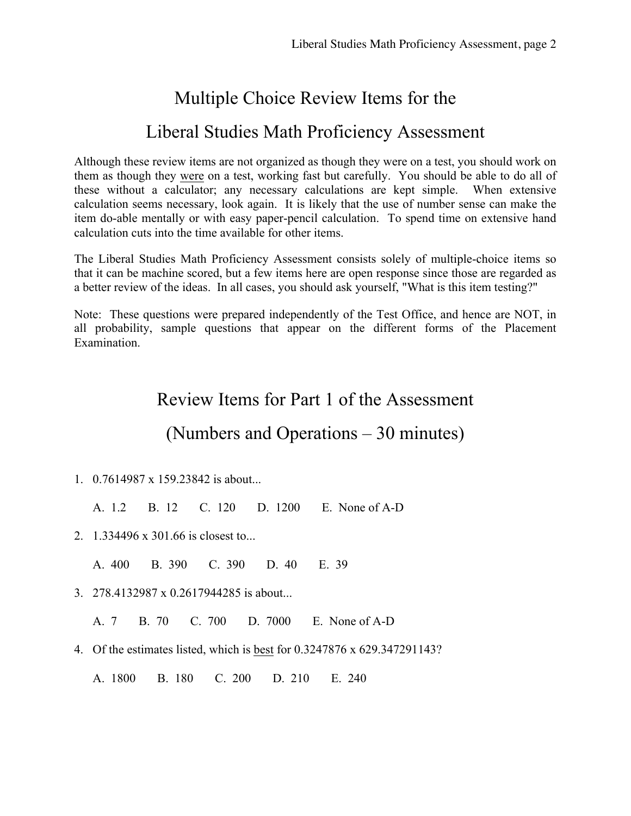# Multiple Choice Review Items for the

#### Liberal Studies Math Proficiency Assessment

Although these review items are not organized as though they were on a test, you should work on them as though they were on a test, working fast but carefully. You should be able to do all of these without a calculator; any necessary calculations are kept simple. When extensive calculation seems necessary, look again. It is likely that the use of number sense can make the item do-able mentally or with easy paper-pencil calculation. To spend time on extensive hand calculation cuts into the time available for other items.

The Liberal Studies Math Proficiency Assessment consists solely of multiple-choice items so that it can be machine scored, but a few items here are open response since those are regarded as a better review of the ideas. In all cases, you should ask yourself, "What is this item testing?"

Note: These questions were prepared independently of the Test Office, and hence are NOT, in all probability, sample questions that appear on the different forms of the Placement Examination.

#### Review Items for Part 1 of the Assessment

#### (Numbers and Operations – 30 minutes)

- 1. 0.7614987 x 159.23842 is about...
	- A. 1.2 B. 12 C. 120 D. 1200 E. None of A-D
- 2. 1.334496 x 301.66 is closest to...
	- A. 400 B. 390 C. 390 D. 40 E. 39
- 3. 278.4132987 x 0.2617944285 is about...

A. 7 B. 70 C. 700 D. 7000 E. None of A-D

4. Of the estimates listed, which is best for 0.3247876 x 629.347291143?

A. 1800 B. 180 C. 200 D. 210 E. 240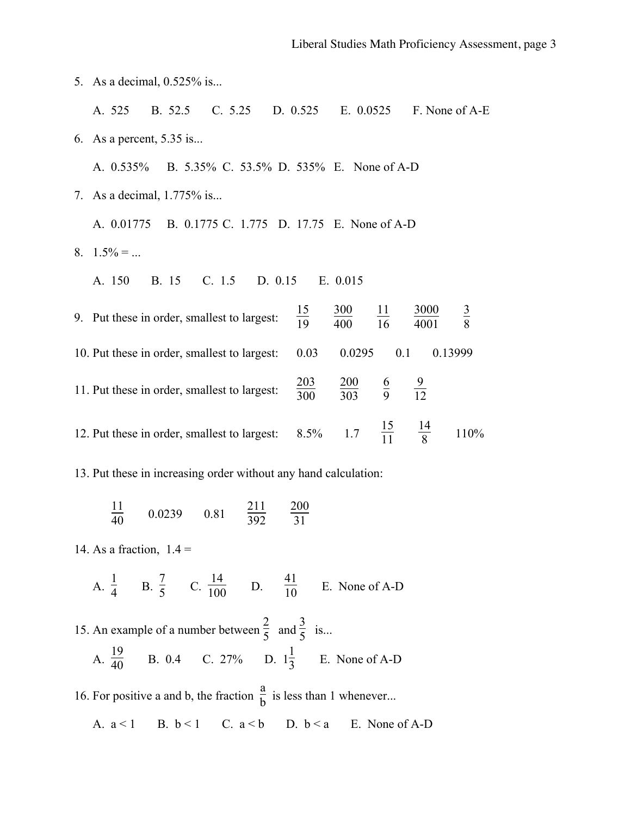| 5. As a decimal, 0.525% is                                                              |                   |                                                |                 |              |             |
|-----------------------------------------------------------------------------------------|-------------------|------------------------------------------------|-----------------|--------------|-------------|
| B. 52.5 C. 5.25<br>A. 525                                                               |                   | D. 0.525 E. 0.0525 F. None of A-E              |                 |              |             |
| 6. As a percent, $5.35$ is                                                              |                   |                                                |                 |              |             |
| A. 0.535% B. 5.35% C. 53.5% D. 535% E. None of A-D                                      |                   |                                                |                 |              |             |
| 7. As a decimal, 1.775% is                                                              |                   |                                                |                 |              |             |
| A. 0.01775 B. 0.1775 C. 1.775 D. 17.75 E. None of A-D                                   |                   |                                                |                 |              |             |
| 8. $1.5\% = $                                                                           |                   |                                                |                 |              |             |
| B. 15<br>C. 1.5 D. 0.15<br>A. 150                                                       |                   | E. 0.015                                       |                 |              |             |
| 9. Put these in order, smallest to largest:                                             | $\frac{15}{19}$   | $\frac{300}{400}$                              | $\frac{11}{16}$ | 3000<br>4001 | $rac{3}{8}$ |
| 10. Put these in order, smallest to largest:                                            | 0.03              | 0.0295                                         | 0.1             |              | 0.13999     |
| 11. Put these in order, smallest to largest:                                            | $\frac{203}{300}$ | $\frac{200}{303}$ $\frac{6}{9}$ $\frac{9}{12}$ |                 |              |             |
| 12. Put these in order, smallest to largest: $8.5\%$ 1.7 $\frac{15}{11}$ $\frac{14}{8}$ |                   |                                                |                 |              | 110%        |
| 13. Put these in increasing order without any hand calculation:                         |                   |                                                |                 |              |             |

 $\frac{11}{40}$  $\frac{11}{40}$  0.0239 0.81  $\frac{211}{392}$   $\frac{200}{31}$ 

14. As a fraction,  $1.4 =$ 

A.  $\frac{1}{4}$  B.  $\frac{7}{5}$  C.  $\frac{14}{100}$  D.  $\frac{41}{10}$  E. None of A-D

15. An example of a number between  $\frac{2}{5}$  and  $\frac{3}{5}$  is... A.  $\frac{19}{40}$  B. 0.4 C. 27% D.  $1\frac{1}{3}$  E. None of A-D

16. For positive a and b, the fraction  $\frac{a}{b}$  is less than 1 whenever...

A. 
$$
a < 1
$$
 B.  $b < 1$  C.  $a < b$  D.  $b < a$  E. None of A-D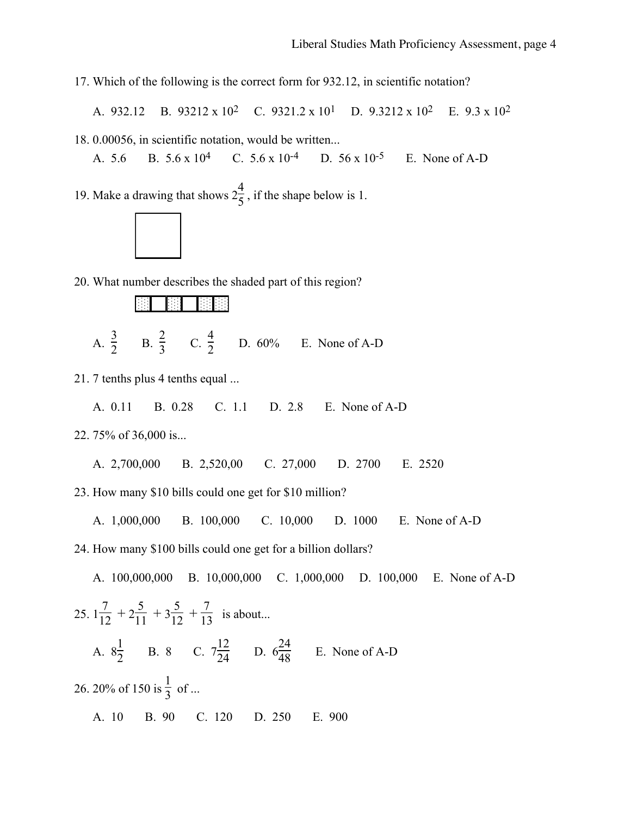17. Which of the following is the correct form for 932.12, in scientific notation?

A. 932.12 B. 93212 x 102 C. 9321.2 x 101 D. 9.3212 x 102 E. 9.3 x 102

18. 0.00056, in scientific notation, would be written...

A. 5.6 B. 5.6 x 10<sup>4</sup> C. 5.6 x 10<sup>-4</sup> D. 56 x 10<sup>-5</sup> E. None of A-D

19. Make a drawing that shows  $2\frac{4}{5}$ , if the shape below is 1.



20. What number describes the shaded part of this region?

|   | ٠         |   |   | ٠      |    |   | ٠      |   | ٠      | ٠ |  |
|---|-----------|---|---|--------|----|---|--------|---|--------|---|--|
| ٠ | ٠<br>÷    | ï | ٠ | ٠<br>٠ | ı. | ٠ | ٠<br>÷ | ٠ | ٠<br>٠ | ÷ |  |
| ٠ | $\bullet$ |   | ٠ |        | ٠  | ٠ |        |   | ٠      |   |  |
|   | ٠<br>٠    |   | ٠ | ٠<br>٠ |    | ٠ | ٠<br>٠ | ٠ | ٠<br>٠ | ٠ |  |
|   | ٠         |   |   | ٠      |    |   | ٠<br>ı |   | ٠      | ÷ |  |
|   |           |   |   |        |    |   |        |   |        |   |  |

A.  $\frac{3}{2}$  B.  $\frac{2}{3}$  C.  $\frac{4}{2}$  D. 60% E. None of A-D

21. 7 tenths plus 4 tenths equal ...

A. 0.11 B. 0.28 C. 1.1 D. 2.8 E. None of A-D

22. 75% of 36,000 is...

A. 2,700,000 B. 2,520,00 C. 27,000 D. 2700 E. 2520

23. How many \$10 bills could one get for \$10 million?

A. 1,000,000 B. 100,000 C. 10,000 D. 1000 E. None of A-D

24. How many \$100 bills could one get for a billion dollars?

A. 100,000,000 B. 10,000,000 C. 1,000,000 D. 100,000 E. None of A-D 25.  $1\frac{7}{12} + 2\frac{5}{11} + 3\frac{5}{12} + \frac{7}{13}$  is about... A.  $8\frac{1}{2}$  B. 8 C.  $7\frac{12}{24}$  D.  $6\frac{24}{48}$  E. None of A-D 26. 20% of 150 is  $\frac{1}{3}$  of ... A. 10 B. 90 C. 120 D. 250 E. 900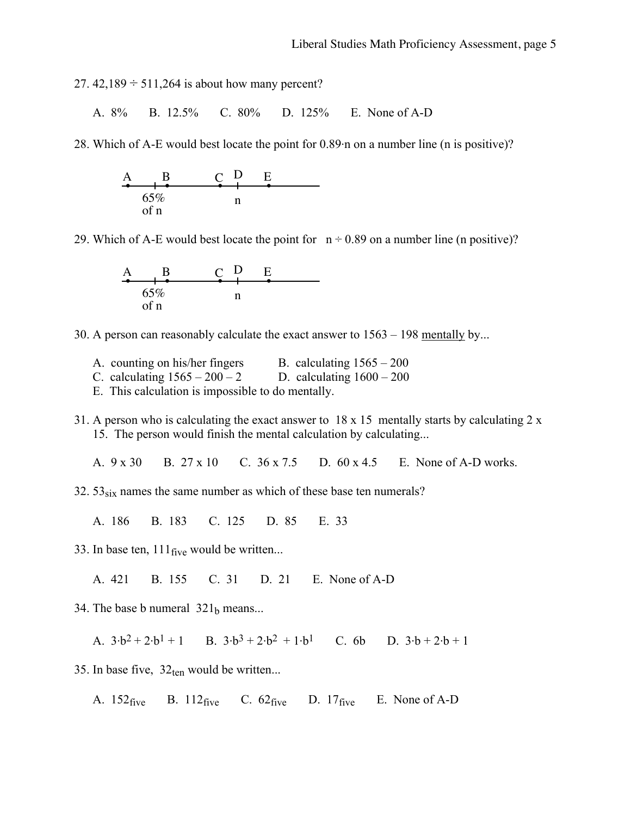27.  $42,189 \div 511,264$  is about how many percent?

A. 8% B. 12.5% C. 80% D. 125% E. None of A-D

28. Which of A-E would best locate the point for 0.89. n on a number line (n is positive)?



29. Which of A-E would best locate the point for  $n \div 0.89$  on a number line (n positive)?



30. A person can reasonably calculate the exact answer to 1563 – 198 mentally by...

- A. counting on his/her fingers B. calculating  $1565 200$
- C. calculating  $1565 200 2$  D. calculating  $1600 200$

E. This calculation is impossible to do mentally.

31. A person who is calculating the exact answer to 18 x 15 mentally starts by calculating 2 x 15. The person would finish the mental calculation by calculating...

A. 9 x 30 B. 27 x 10 C. 36 x 7.5 D. 60 x 4.5 E. None of A-D works.

32.  $53_{\text{six}}$  names the same number as which of these base ten numerals?

A. 186 B. 183 C. 125 D. 85 E. 33

33. In base ten,  $111_{\text{five}}$  would be written...

A. 421 B. 155 C. 31 D. 21 E. None of A-D

34. The base b numeral  $321<sub>b</sub>$  means...

A.  $3 \cdot b^2 + 2 \cdot b^1 + 1$  B.  $3 \cdot b^3 + 2 \cdot b^2 + 1 \cdot b^1$  C. 6b D.  $3 \cdot b + 2 \cdot b + 1$ 

35. In base five,  $32_{ten}$  would be written...

A.  $152$  five B.  $112$  five C.  $62$  five D.  $17$  five E. None of A-D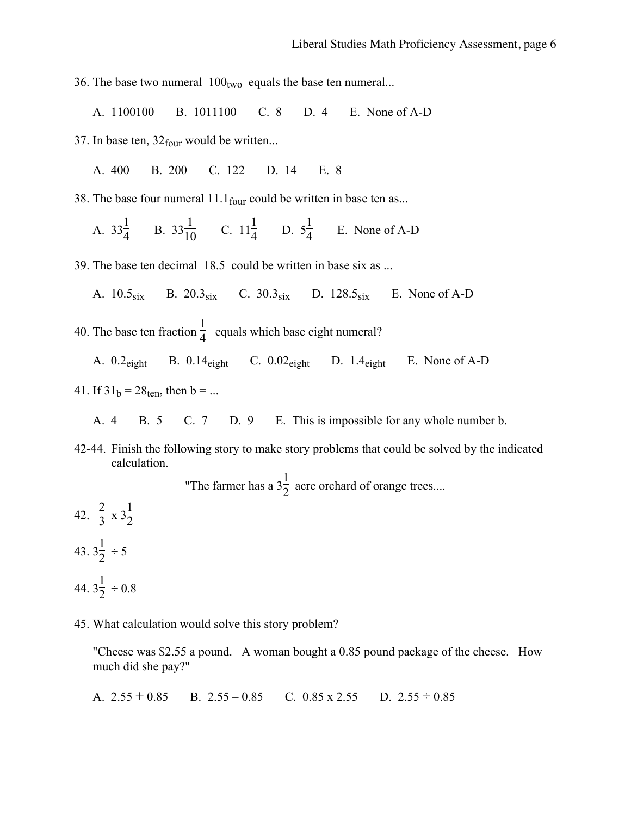36. The base two numeral  $100_{two}$  equals the base ten numeral...

A. 1100100 B. 1011100 C. 8 D. 4 E. None of A-D

37. In base ten,  $32_{\text{four}}$  would be written...

A. 400 B. 200 C. 122 D. 14 E. 8

38. The base four numeral  $11.1<sub>four</sub>$  could be written in base ten as...

A.  $33\frac{1}{4}$  B.  $33\frac{1}{10}$  C.  $11\frac{1}{4}$  D.  $5\frac{1}{4}$  E. None of A-D

39. The base ten decimal 18.5 could be written in base six as ...

A.  $10.5_{\text{six}}$  B.  $20.3_{\text{six}}$  C.  $30.3_{\text{six}}$  D.  $128.5_{\text{six}}$  E. None of A-D

40. The base ten fraction  $\frac{1}{4}$  equals which base eight numeral?

A.  $0.2_{\text{eight}}$  B.  $0.14_{\text{eight}}$  C.  $0.02_{\text{eight}}$  D.  $1.4_{\text{eight}}$  E. None of A-D

- 41. If  $31<sub>b</sub> = 28<sub>ten</sub>$ , then b = ...
	- A. 4 B. 5 C. 7 D. 9 E. This is impossible for any whole number b.
- 42-44. Finish the following story to make story problems that could be solved by the indicated calculation.

"The farmer has a  $3\frac{1}{2}$  acre orchard of orange trees....

42.  $\frac{2}{3} \times 3\frac{1}{2}$ 43.  $3\frac{1}{2} \div 5$ 44.  $3\frac{1}{2} \div 0.8$ 

45. What calculation would solve this story problem?

"Cheese was \$2.55 a pound. A woman bought a 0.85 pound package of the cheese. How much did she pay?"

A.  $2.55 + 0.85$  B.  $2.55 - 0.85$  C.  $0.85 \times 2.55$  D.  $2.55 \div 0.85$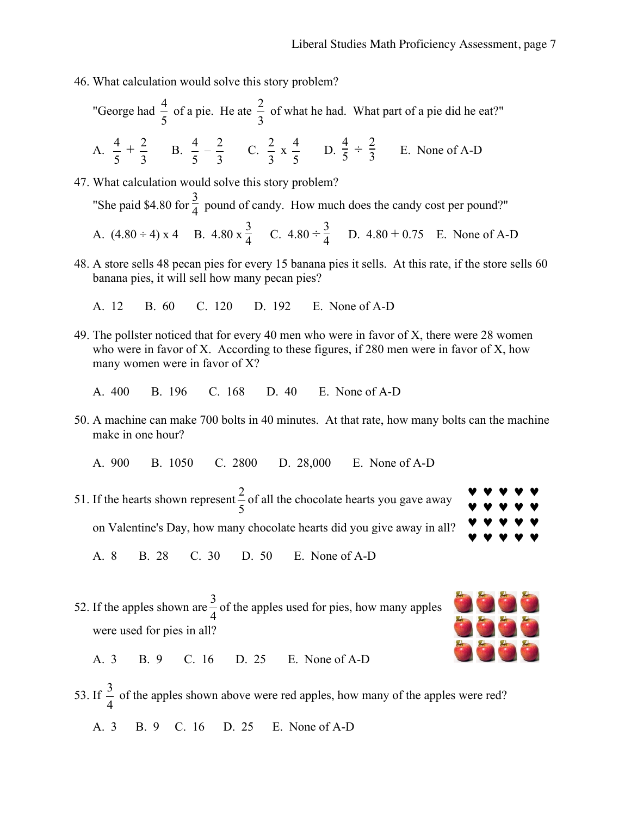- 46. What calculation would solve this story problem?
	- "George had  $\frac{4}{5}$  of a pie. He ate  $\frac{2}{3}$  of what he had. What part of a pie did he eat?" A. 5  $\frac{4}{7}$  + 3  $rac{2}{2}$  B.  $\frac{4}{5} - \frac{2}{3}$  C. 3  $\frac{2}{2}$  x 5  $\frac{4}{5}$  D.  $\frac{4}{5} \div \frac{2}{3}$  E. None of A-D

47. What calculation would solve this story problem? "She paid \$4.80 for  $\frac{3}{4}$  pound of candy. How much does the candy cost per pound?"

A. 
$$
(4.80 \div 4) \times 4
$$
 B.  $4.80 \times \frac{3}{4}$  C.  $4.80 \div \frac{3}{4}$  D.  $4.80 \div 0.75$  E. None of A-D

48. A store sells 48 pecan pies for every 15 banana pies it sells. At this rate, if the store sells 60 banana pies, it will sell how many pecan pies?

A. 12 B. 60 C. 120 D. 192 E. None of A-D

49. The pollster noticed that for every 40 men who were in favor of X, there were 28 women who were in favor of X. According to these figures, if 280 men were in favor of X, how many women were in favor of X?

A. 400 B. 196 C. 168 D. 40 E. None of A-D

- 50. A machine can make 700 bolts in 40 minutes. At that rate, how many bolts can the machine make in one hour?
	- A. 900 B. 1050 C. 2800 D. 28,000 E. None of A-D
- 51. If the hearts shown represent  $\frac{2}{5}$  of all the chocolate hearts you gave away on Valentine's Day, how many chocolate hearts did you give away in all? ♥ ♥ ♥ ♥ ♥ ♥ ♥ ♥ ♥ ♥ ♥ ♥ ♥ ♥ ♥ ♥ ♥ ♥ ♥ ♥

A. 8 B. 28 C. 30 D. 50 E. None of A-D

52. If the apples shown are  $\frac{3}{4}$  of the apples used for pies, how many apples were used for pies in all?



A. 3 B. 9 C. 16 D. 25 E. None of A-D

53. If 4  $\frac{3}{1}$  of the apples shown above were red apples, how many of the apples were red? A. 3 B. 9 C. 16 D. 25 E. None of A-D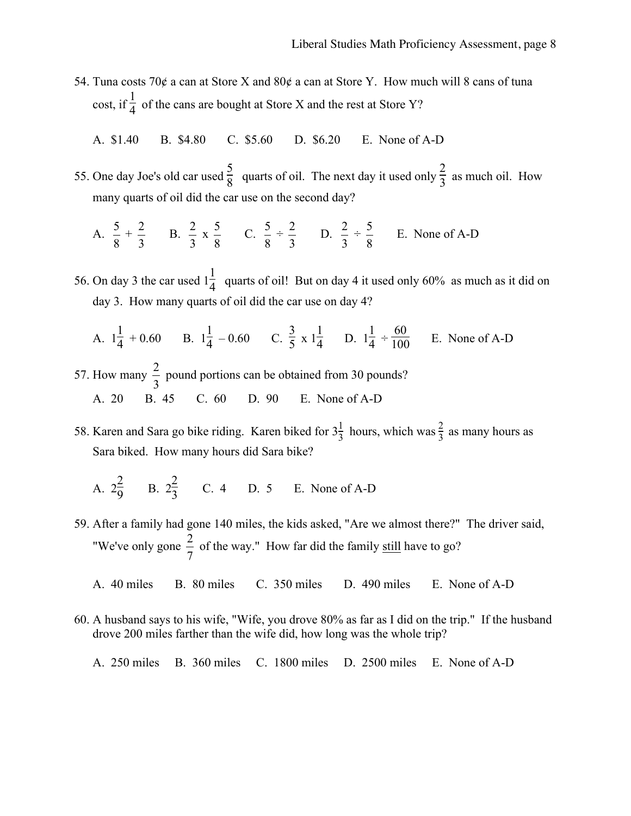- 54. Tuna costs 70¢ a can at Store X and 80¢ a can at Store Y. How much will 8 cans of tuna cost, if  $\frac{1}{4}$  of the cans are bought at Store X and the rest at Store Y?
	- A. \$1.40 B. \$4.80 C. \$5.60 D. \$6.20 E. None of A-D
- 55. One day Joe's old car used  $\frac{5}{8}$  quarts of oil. The next day it used only  $\frac{2}{3}$  as much oil. How many quarts of oil did the car use on the second day?

A. 
$$
\frac{5}{8} + \frac{2}{3}
$$
 B.  $\frac{2}{3} \times \frac{5}{8}$  C.  $\frac{5}{8} \div \frac{2}{3}$  D.  $\frac{2}{3} \div \frac{5}{8}$  E. None of A-D

- 56. On day 3 the car used  $1\frac{1}{4}$  quarts of oil! But on day 4 it used only 60% as much as it did on day 3. How many quarts of oil did the car use on day 4?
	- A.  $1\frac{1}{4} + 0.60$  B.  $1\frac{1}{4} 0.60$  C.  $\frac{3}{5} \times 1\frac{1}{4}$  D.  $1\frac{1}{4} \div \frac{60}{100}$  E. None of A-D
- 57. How many  $\frac{2}{3}$  pound portions can be obtained from 30 pounds? A. 20 B. 45 C. 60 D. 90 E. None of A-D
- 58. Karen and Sara go bike riding. Karen biked for  $3\frac{1}{3}$  hours, which was  $\frac{2}{3}$  as many hours as Sara biked. How many hours did Sara bike?
	- A.  $2\frac{2}{9}$  B.  $2\frac{2}{3}$  C. 4 D. 5 E. None of A-D
- 59. After a family had gone 140 miles, the kids asked, "Are we almost there?" The driver said, "We've only gone  $\frac{2}{7}$  of the way." How far did the family still have to go?
	- A. 40 miles B. 80 miles C. 350 miles D. 490 miles E. None of A-D
- 60. A husband says to his wife, "Wife, you drove 80% as far as I did on the trip." If the husband drove 200 miles farther than the wife did, how long was the whole trip?
	- A. 250 miles B. 360 miles C. 1800 miles D. 2500 miles E. None of A-D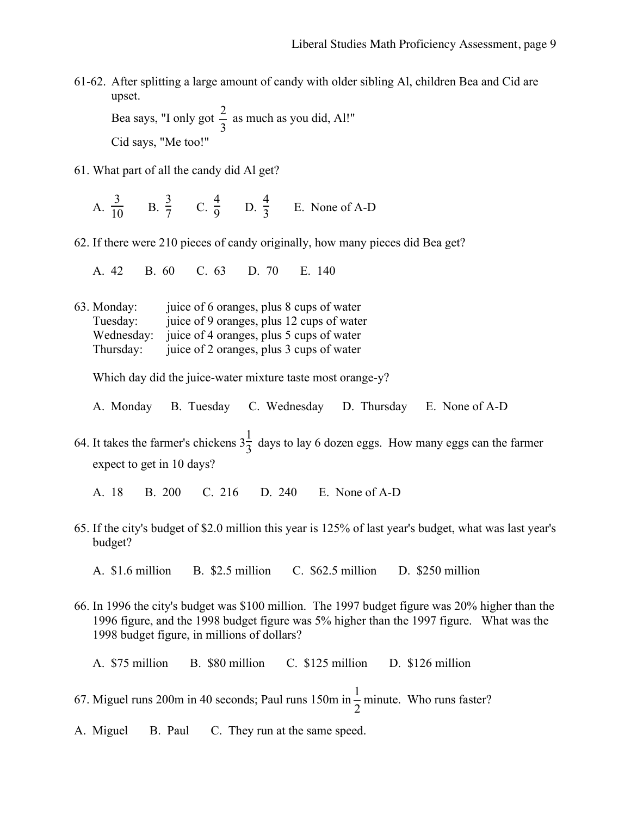- 61-62. After splitting a large amount of candy with older sibling Al, children Bea and Cid are upset. Bea says, "I only got  $\frac{2}{3}$  as much as you did, Al!" Cid says, "Me too!"
- 61. What part of all the candy did Al get?
	- A.  $\frac{3}{10}$  B.  $\frac{3}{7}$  C.  $\frac{4}{9}$  D.  $\frac{4}{3}$  E. None of A-D
- 62. If there were 210 pieces of candy originally, how many pieces did Bea get?
	- A. 42 B. 60 C. 63 D. 70 E. 140
- 63. Monday: juice of 6 oranges, plus 8 cups of water Tuesday: juice of 9 oranges, plus 12 cups of water Wednesday: juice of 4 oranges, plus 5 cups of water Thursday: juice of 2 oranges, plus 3 cups of water

Which day did the juice-water mixture taste most orange-y?

- A. Monday B. Tuesday C. Wednesday D. Thursday E. None of A-D
- 64. It takes the farmer's chickens  $3\frac{1}{3}$  days to lay 6 dozen eggs. How many eggs can the farmer expect to get in 10 days?
	- A. 18 B. 200 C. 216 D. 240 E. None of A-D
- 65. If the city's budget of \$2.0 million this year is 125% of last year's budget, what was last year's budget?
	- A. \$1.6 million B. \$2.5 million C. \$62.5 million D. \$250 million
- 66. In 1996 the city's budget was \$100 million. The 1997 budget figure was 20% higher than the 1996 figure, and the 1998 budget figure was 5% higher than the 1997 figure. What was the 1998 budget figure, in millions of dollars?
	- A. \$75 million B. \$80 million C. \$125 million D. \$126 million
- 67. Miguel runs 200m in 40 seconds; Paul runs 150m in  $\frac{1}{2}$  minute. Who runs faster?
- A. Miguel B. Paul C. They run at the same speed.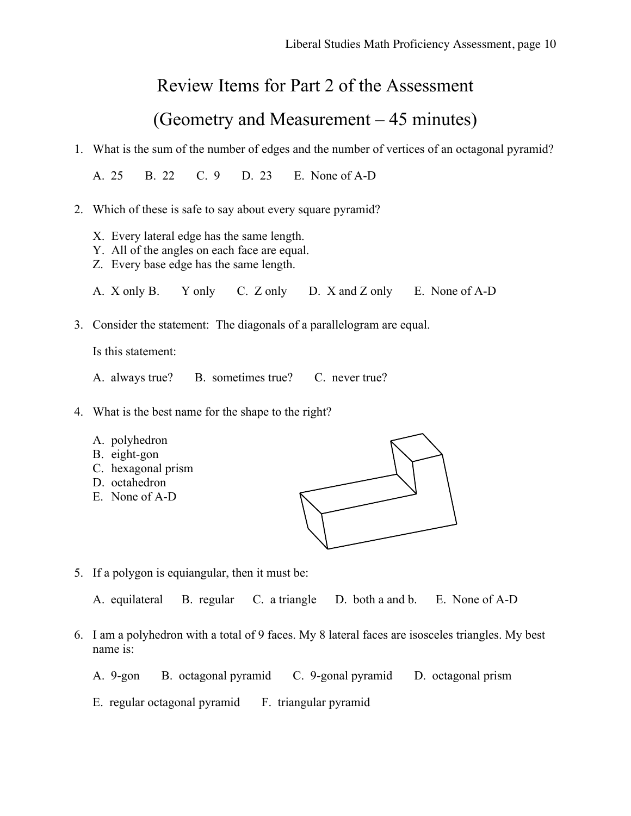#### Review Items for Part 2 of the Assessment

## (Geometry and Measurement – 45 minutes)

1. What is the sum of the number of edges and the number of vertices of an octagonal pyramid?

A. 25 B. 22 C. 9 D. 23 E. None of A-D

- 2. Which of these is safe to say about every square pyramid?
	- X. Every lateral edge has the same length.
	- Y. All of the angles on each face are equal.
	- Z. Every base edge has the same length.
	- A. X only B. Y only C. Z only D. X and Z only E. None of A-D
- 3. Consider the statement: The diagonals of a parallelogram are equal.

Is this statement:

- A. always true? B. sometimes true? C. never true?
- 4. What is the best name for the shape to the right?
	- A. polyhedron
	- B. eight-gon
	- C. hexagonal prism
	- D. octahedron
	- E. None of A-D



5. If a polygon is equiangular, then it must be:

A. equilateral B. regular C. a triangle D. both a and b. E. None of A-D

- 6. I am a polyhedron with a total of 9 faces. My 8 lateral faces are isosceles triangles. My best name is:
	- A. 9-gon B. octagonal pyramid C. 9-gonal pyramid D. octagonal prism
	- E. regular octagonal pyramid F. triangular pyramid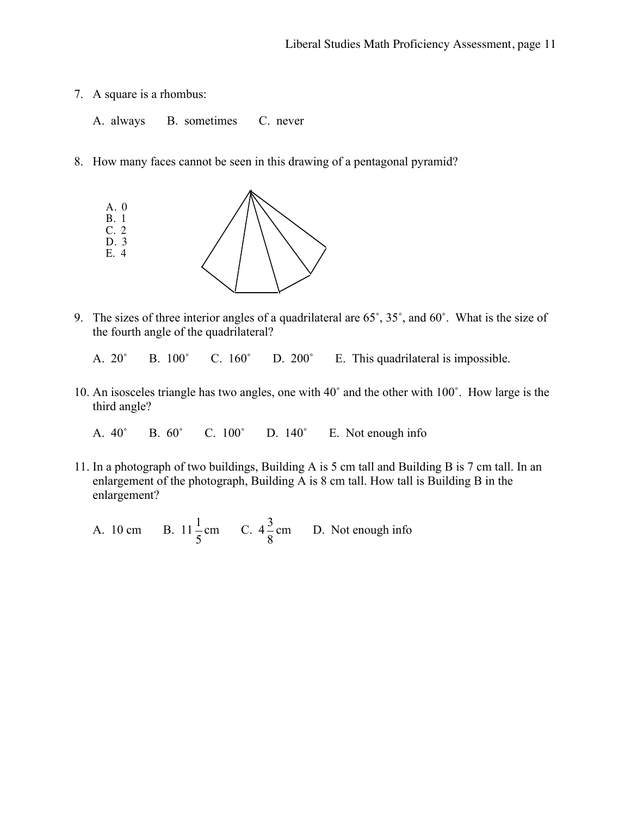- 7. A square is a rhombus:
	- A. always B. sometimes C. never
- 8. How many faces cannot be seen in this drawing of a pentagonal pyramid?



9. The sizes of three interior angles of a quadrilateral are 65˚, 35˚, and 60˚. What is the size of the fourth angle of the quadrilateral?

A. 20˚ B. 100˚ C. 160˚ D. 200˚ E. This quadrilateral is impossible.

10. An isosceles triangle has two angles, one with 40˚ and the other with 100˚. How large is the third angle?

A. 40˚ B. 60˚ C. 100˚ D. 140˚ E. Not enough info

- 11. In a photograph of two buildings, Building A is 5 cm tall and Building B is 7 cm tall. In an enlargement of the photograph, Building A is 8 cm tall. How tall is Building B in the enlargement?
	- A. 10 cm 5  $\frac{1}{2}$  cm C. 4 8  $\frac{3}{6}$  cm D. Not enough info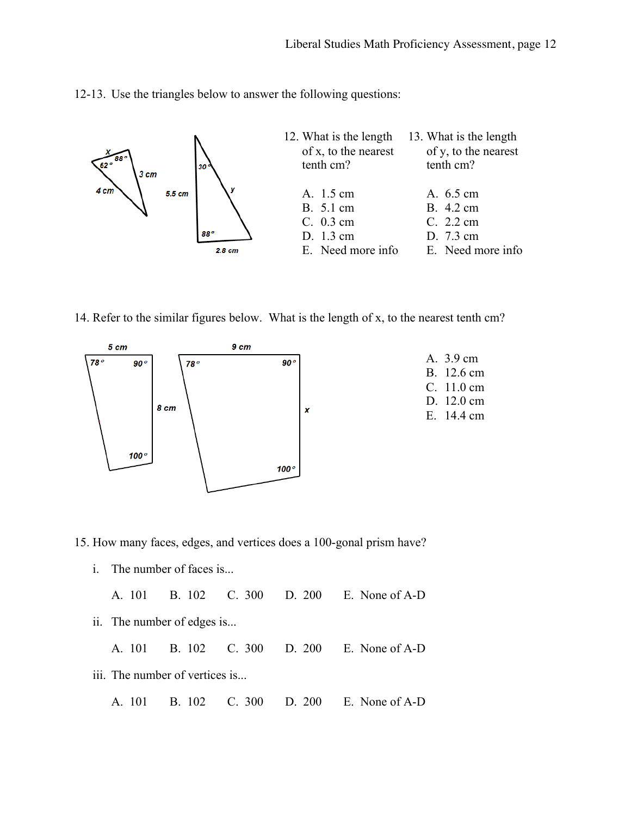12-13. Use the triangles below to answer the following questions:



14. Refer to the similar figures below. What is the length of x, to the nearest tenth cm?



| A. 3.9 cm  |
|------------|
| B. 12.6 cm |
| C. 11.0 cm |
| D. 12.0 cm |
| E. 14.4 cm |
|            |

15. How many faces, edges, and vertices does a 100-gonal prism have?

i. The number of faces is...

| A. 101 B. 102 C. 300 D. 200 E. None of A-D |
|--------------------------------------------|
|--------------------------------------------|

ii. The number of edges is...

A. 101 B. 102 C. 300 D. 200 E. None of A-D

- iii. The number of vertices is...
	- A. 101 B. 102 C. 300 D. 200 E. None of A-D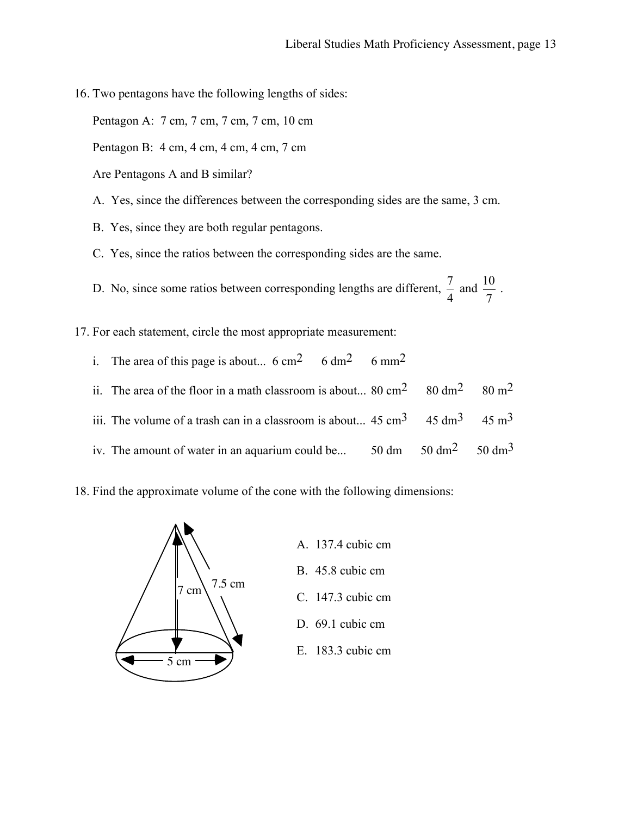16. Two pentagons have the following lengths of sides:

Pentagon A: 7 cm, 7 cm, 7 cm, 7 cm, 10 cm

Pentagon B: 4 cm, 4 cm, 4 cm, 4 cm, 7 cm

- Are Pentagons A and B similar?
- A. Yes, since the differences between the corresponding sides are the same, 3 cm.
- B. Yes, since they are both regular pentagons.
- C. Yes, since the ratios between the corresponding sides are the same.

D. No, since some ratios between corresponding lengths are different,  $\frac{7}{4}$  and 7  $\frac{10}{2}$ .

17. For each statement, circle the most appropriate measurement:

- i. The area of this page is about...  $6 \text{ cm}^2$  6 dm<sup>2</sup> 6 mm<sup>2</sup>
- ii. The area of the floor in a math classroom is about...  $80 \text{ cm}^2$   $80 \text{ dm}^2$   $80 \text{ m}^2$
- iii. The volume of a trash can in a classroom is about...  $45 \text{ cm}^3$  45 dm<sup>3</sup> 45 m<sup>3</sup>
- iv. The amount of water in an aquarium could be...  $50 \text{ dm}^2$   $50 \text{ dm}^3$
- 18. Find the approximate volume of the cone with the following dimensions:

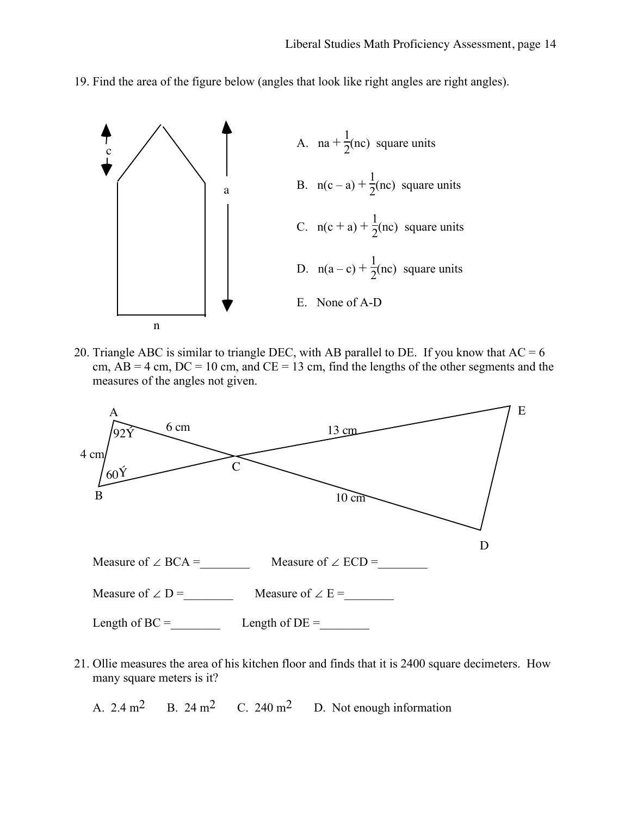19. Find the area of the figure below (angles that look like right angles are right angles).



20. Triangle ABC is similar to triangle DEC, with AB parallel to DE. If you know that  $AC = 6$ cm,  $AB = 4$  cm,  $DC = 10$  cm, and  $CE = 13$  cm, find the lengths of the other segments and the measures of the angles not given.



21. Ollie measures the area of his kitchen floor and finds that it is 2400 square decimeters. How many square meters is it?

A.  $2.4 \text{ m}^2$  B.  $24 \text{ m}^2$  C.  $240 \text{ m}^2$  D. Not enough information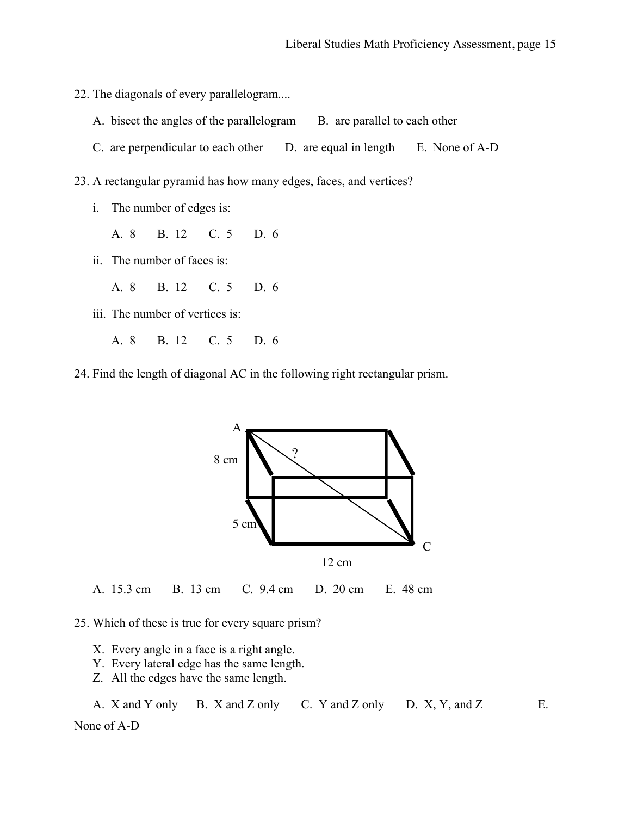- 22. The diagonals of every parallelogram....
	- A. bisect the angles of the parallelogram B. are parallel to each other
	- C. are perpendicular to each other D. are equal in length E. None of A-D
- 23. A rectangular pyramid has how many edges, faces, and vertices?
	- i. The number of edges is:
		- A. 8 B. 12 C. 5 D. 6
	- ii. The number of faces is:
		- A. 8 B. 12 C. 5 D. 6
	- iii. The number of vertices is:
		- A. 8 B. 12 C. 5 D. 6
- 24. Find the length of diagonal AC in the following right rectangular prism.



A. 15.3 cm B. 13 cm C. 9.4 cm D. 20 cm E. 48 cm

- 25. Which of these is true for every square prism?
	- X. Every angle in a face is a right angle.
	- Y. Every lateral edge has the same length.
	- Z. All the edges have the same length.

A. X and Y only B. X and Z only C. Y and Z only D. X, Y, and Z E.

None of A-D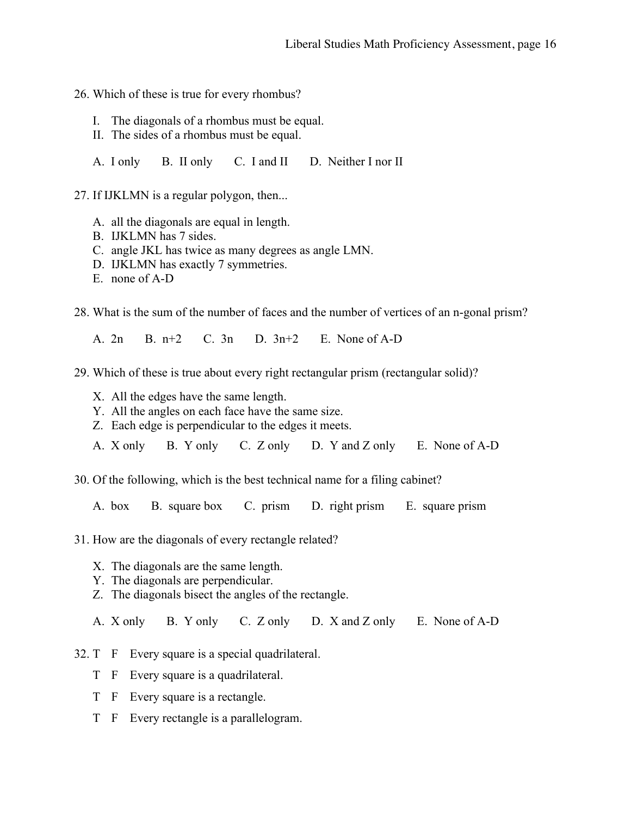- 26. Which of these is true for every rhombus?
	- I. The diagonals of a rhombus must be equal.
	- II. The sides of a rhombus must be equal.
	- A. I only B. II only C. I and II D. Neither I nor II

27. If IJKLMN is a regular polygon, then...

- A. all the diagonals are equal in length.
- B. IJKLMN has 7 sides.
- C. angle JKL has twice as many degrees as angle LMN.
- D. IJKLMN has exactly 7 symmetries.
- E. none of A-D
- 28. What is the sum of the number of faces and the number of vertices of an n-gonal prism?

A. 2n B. n+2 C. 3n D. 3n+2 E. None of A-D

- 29. Which of these is true about every right rectangular prism (rectangular solid)?
	- X. All the edges have the same length.
	- Y. All the angles on each face have the same size.
	- Z. Each edge is perpendicular to the edges it meets.
	- A. X only B. Y only C. Z only D. Y and Z only E. None of A-D

30. Of the following, which is the best technical name for a filing cabinet?

A. box B. square box C. prism D. right prism E. square prism

- 31. How are the diagonals of every rectangle related?
	- X. The diagonals are the same length.
	- Y. The diagonals are perpendicular.
	- Z. The diagonals bisect the angles of the rectangle.

A. X only B. Y only C. Z only D. X and Z only E. None of A-D

- 32. T F Every square is a special quadrilateral.
	- T F Every square is a quadrilateral.
	- T F Every square is a rectangle.
	- T F Every rectangle is a parallelogram.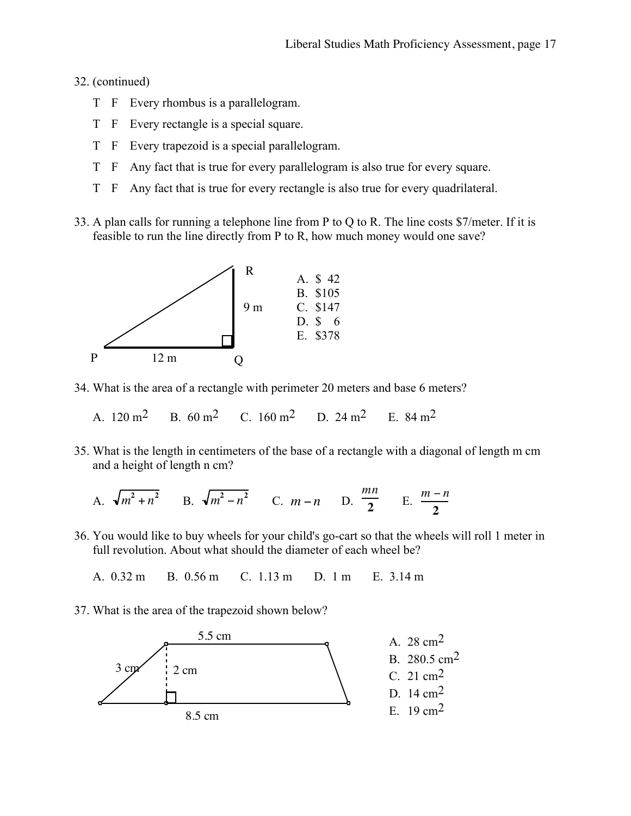#### 32. (continued)

- T F Every rhombus is a parallelogram.
- T F Every rectangle is a special square.
- T F Every trapezoid is a special parallelogram.
- T F Any fact that is true for every parallelogram is also true for every square.
- T F Any fact that is true for every rectangle is also true for every quadrilateral.
- 33. A plan calls for running a telephone line from P to Q to R. The line costs \$7/meter. If it is feasible to run the line directly from P to R, how much money would one save?



- 34. What is the area of a rectangle with perimeter 20 meters and base 6 meters?
	- A  $120 \text{ m}^2$  B  $60 \text{ m}^2$  C  $160 \text{ m}^2$  D  $24 \text{ m}^2$  E  $84 \text{ m}^2$
- 35. What is the length in centimeters of the base of a rectangle with a diagonal of length m cm and a height of length n cm?

A. 
$$
\sqrt{m^2 + n^2}
$$
 B.  $\sqrt{m^2 - n^2}$  C.  $m - n$  D.  $\frac{mn}{2}$  E.  $\frac{m - n}{2}$ 

36. You would like to buy wheels for your child's go-cart so that the wheels will roll 1 meter in full revolution. About what should the diameter of each wheel be?

A. 0.32 m B. 0.56 m C. 1.13 m D. 1 m E. 3.14 m

37. What is the area of the trapezoid shown below?

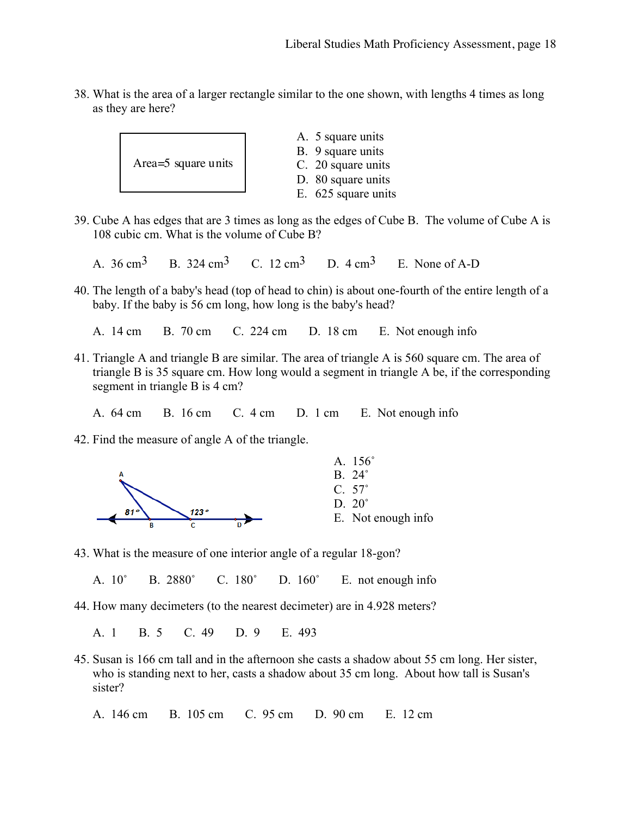38. What is the area of a larger rectangle similar to the one shown, with lengths 4 times as long as they are here?



- 39. Cube A has edges that are 3 times as long as the edges of Cube B. The volume of Cube A is 108 cubic cm. What is the volume of Cube B?
	- A.  $36 \text{ cm}^3$  B.  $324 \text{ cm}^3$  C.  $12 \text{ cm}^3$  D.  $4 \text{ cm}^3$  E. None of A-D
- 40. The length of a baby's head (top of head to chin) is about one-fourth of the entire length of a baby. If the baby is 56 cm long, how long is the baby's head?
	- A. 14 cm B. 70 cm C. 224 cm D. 18 cm E. Not enough info
- 41. Triangle A and triangle B are similar. The area of triangle A is 560 square cm. The area of triangle B is 35 square cm. How long would a segment in triangle A be, if the corresponding segment in triangle B is 4 cm?
	- A. 64 cm B. 16 cm C. 4 cm D. 1 cm E. Not enough info
- 42. Find the measure of angle A of the triangle.



43. What is the measure of one interior angle of a regular 18-gon?

A. 10˚ B. 2880˚ C. 180˚ D. 160˚ E. not enough info

44. How many decimeters (to the nearest decimeter) are in 4.928 meters?

A. 1 B. 5 C. 49 D. 9 E. 493

45. Susan is 166 cm tall and in the afternoon she casts a shadow about 55 cm long. Her sister, who is standing next to her, casts a shadow about 35 cm long. About how tall is Susan's sister?

A. 146 cm B. 105 cm C. 95 cm D. 90 cm E. 12 cm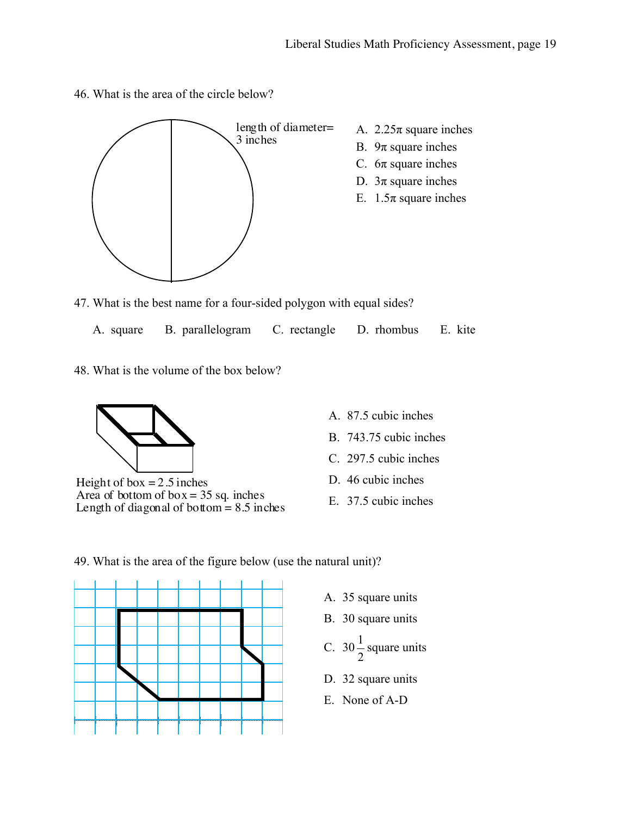46. What is the area of the circle below?



- 47. What is the best name for a four-sided polygon with equal sides?
	- A. square B. parallelogram C. rectangle D. rhombus E. kite
- 48. What is the volume of the box below?



Height of box  $= 2.5$  inches Area of bottom of  $box = 35$  sq. inches Length of diagonal of bottom  $= 8.5$  inches

- A. 87.5 cubic inches
- B. 743.75 cubic inches
- C. 297.5 cubic inches
- D. 46 cubic inches
- E. 37.5 cubic inches

49. What is the area of the figure below (use the natural unit)?



- A. 35 square units
- B. 30 square units
- C. 30 2  $\frac{1}{2}$  square units
- D. 32 square units
- E. None of A-D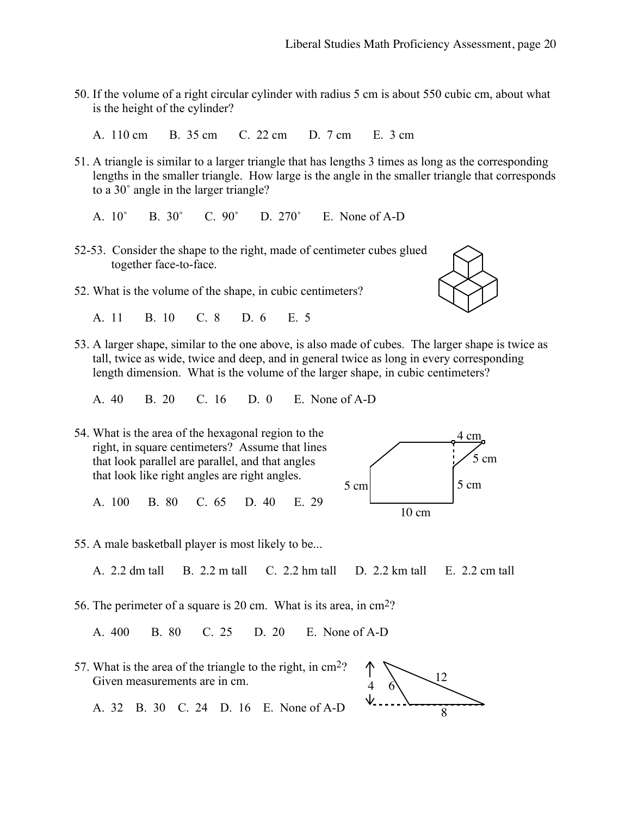- 50. If the volume of a right circular cylinder with radius 5 cm is about 550 cubic cm, about what is the height of the cylinder?
	- A. 110 cm B. 35 cm C. 22 cm D. 7 cm E. 3 cm
- 51. A triangle is similar to a larger triangle that has lengths 3 times as long as the corresponding lengths in the smaller triangle. How large is the angle in the smaller triangle that corresponds to a 30˚ angle in the larger triangle?
	- A. 10˚ B. 30˚ C. 90˚ D. 270˚ E. None of A-D
- 52-53. Consider the shape to the right, made of centimeter cubes glued together face-to-face.
- 52. What is the volume of the shape, in cubic centimeters?
	- A. 11 B. 10 C. 8 D. 6 E. 5
- 53. A larger shape, similar to the one above, is also made of cubes. The larger shape is twice as tall, twice as wide, twice and deep, and in general twice as long in every corresponding length dimension. What is the volume of the larger shape, in cubic centimeters?
	- A. 40 B. 20 C. 16 D. 0 E. None of A-D
- 54. What is the area of the hexagonal region to the right, in square centimeters? Assume that lines that look parallel are parallel, and that angles that look like right angles are right angles.

A. 100 B. 80 C. 65 D. 40 E. 29



55. A male basketball player is most likely to be...

A. 2.2 dm tall B. 2.2 m tall C. 2.2 hm tall D. 2.2 km tall E. 2.2 cm tall

56. The perimeter of a square is 20 cm. What is its area, in cm2?

A. 400 B. 80 C. 25 D. 20 E. None of A-D

57. What is the area of the triangle to the right, in cm2? Given measurements are in cm.





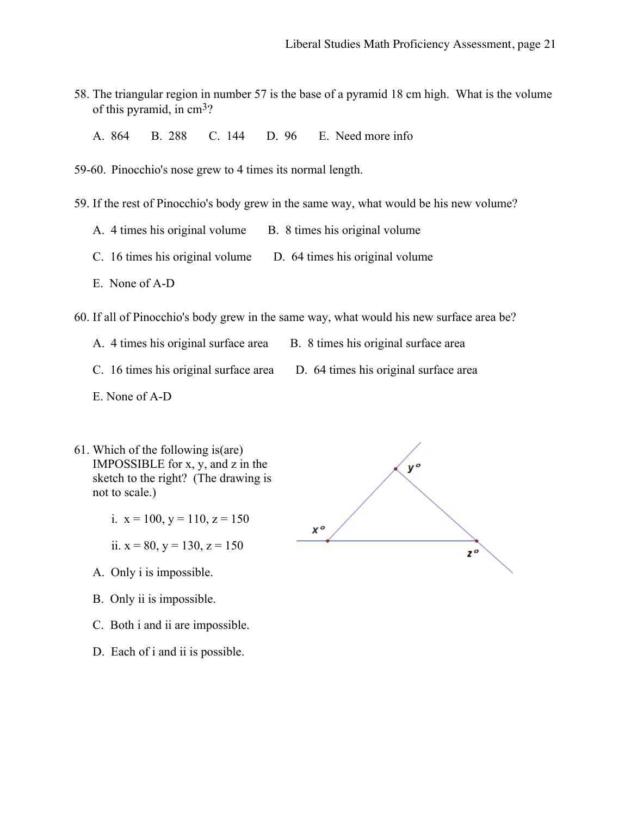- 58. The triangular region in number 57 is the base of a pyramid 18 cm high. What is the volume of this pyramid, in cm3?
	- A. 864 B. 288 C. 144 D. 96 E. Need more info
- 59-60. Pinocchio's nose grew to 4 times its normal length.
- 59. If the rest of Pinocchio's body grew in the same way, what would be his new volume?
	- A. 4 times his original volume B. 8 times his original volume
	- C. 16 times his original volume D. 64 times his original volume
	- E. None of A-D

60. If all of Pinocchio's body grew in the same way, what would his new surface area be?

- A. 4 times his original surface area B. 8 times his original surface area
	-
- 
- C. 16 times his original surface area D. 64 times his original surface area
- E. None of A-D
- 61. Which of the following is(are) IMPOSSIBLE for x, y, and z in the sketch to the right? (The drawing is not to scale.)
	- i.  $x = 100$ ,  $y = 110$ ,  $z = 150$

ii.  $x = 80$ ,  $y = 130$ ,  $z = 150$ 

- A. Only i is impossible.
- B. Only ii is impossible.
- C. Both i and ii are impossible.
- D. Each of i and ii is possible.

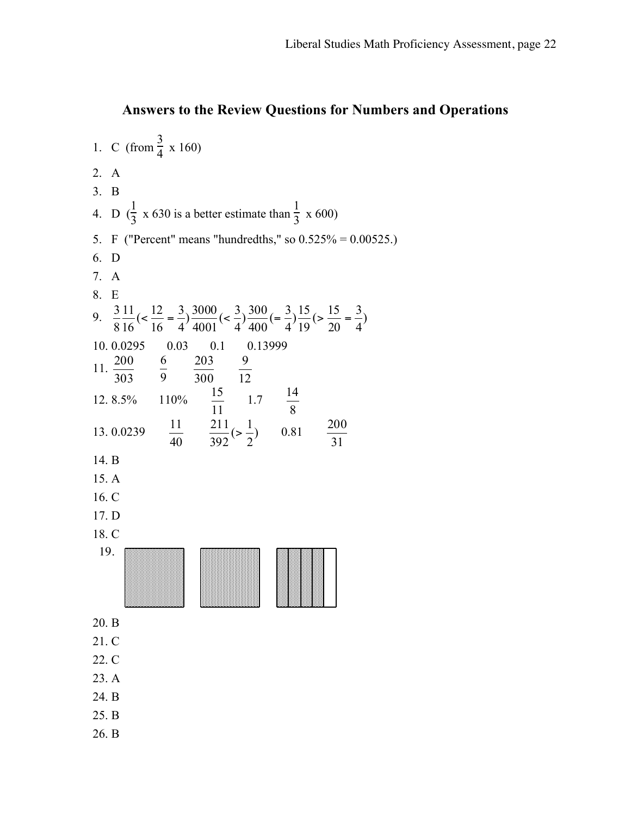#### **Answers to the Review Questions for Numbers and Operations**

1. C (from  $\frac{3}{4} \times 160$ ) 2. A 3. B 4. D  $\left(\frac{1}{3} \times 630\right)$  is a better estimate than  $\frac{1}{3} \times 600$ ) 5. F ("Percent" means "hundredths," so 0.525% = 0.00525.) 6. D 7. A 8. E 9.  $\frac{3}{2} \frac{11}{16} \left( \left( \frac{12}{16} = \frac{3}{4} \right) \frac{3000}{100} \left( \left( \frac{3}{4} \right) \right) \frac{100}{100} \left( \left( \frac{3}{4} \right) \right) \frac{1}{100} \left( \left( \frac{3}{4} \right) \right) \frac{1}{100} \left( \left( \frac{3}{4} \right) \right)$ 4 3  $\frac{15}{19}$  ( $>$   $\frac{15}{20}$  $\frac{300}{400}$  (=  $\frac{3}{4}$ )  $\frac{3000}{4001}$  (<  $\frac{3}{4}$ ) 4 3  $\frac{11}{16}$  (<  $\frac{12}{16}$ 8 3  $\langle \frac{12}{16} = \frac{2}{4} \rangle \frac{5000}{4001} (\langle \frac{5}{4} \rangle \frac{500}{400} (\langle \frac{5}{4} \rangle \frac{10}{10} (\rangle \frac{10}{20} \rangle =$ 10. 0.0295 0.03 0.1 0.13999 11.  $\frac{200}{303}$   $\frac{6}{9}$   $\frac{203}{300}$   $\frac{9}{12}$ 12. 8.5% 110%  $\frac{15}{11}$  1.7  $\frac{14}{8}$ 13. 0.0239  $\frac{11}{40}$   $\frac{211}{392}$ ( $>\frac{1}{2}$ )  $\frac{211}{392} (> \frac{1}{2})$  0.81  $\frac{200}{31}$ 14. B 15. A 16. C 17. D 18. C 19. 20. B 21. C 22. C 23. A 24. B 25. B 26. B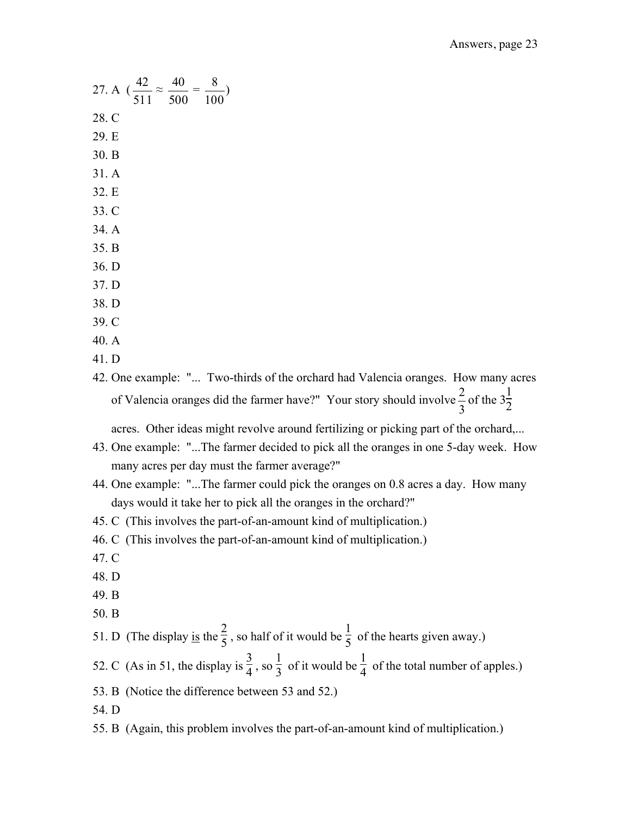27. A  $\left(\frac{42}{511} \approx \frac{40}{500}\right)$ 100  $\frac{8}{10}$ 28. C 29. E 30. B 31. A 32. E 33. C 34. A 35. B 36. D 37. D 38. D 39. C 40. A 41. D 47. C 48. D 49. B

51. D (The display is the  $\frac{2}{5}$ , so half of it would be  $\frac{1}{5}$  of the hearts given away.)

- 52. C (As in 51, the display is  $\frac{3}{4}$ , so  $\frac{1}{3}$  $\frac{1}{3}$  of it would be  $\frac{1}{4}$  of the total number of apples.)
- 53. B (Notice the difference between 53 and 52.)
- 54. D
- 55. B (Again, this problem involves the part-of-an-amount kind of multiplication.)

42. One example: "... Two-thirds of the orchard had Valencia oranges. How many acres of Valencia oranges did the farmer have?" Your story should involve  $\frac{2}{3}$  of the  $3\frac{1}{2}$ 

acres. Other ideas might revolve around fertilizing or picking part of the orchard,...

- 43. One example: "...The farmer decided to pick all the oranges in one 5-day week. How many acres per day must the farmer average?"
- 44. One example: "...The farmer could pick the oranges on 0.8 acres a day. How many days would it take her to pick all the oranges in the orchard?"
- 45. C (This involves the part-of-an-amount kind of multiplication.)
- 46. C (This involves the part-of-an-amount kind of multiplication.)
- 
- 
- 
- 50. B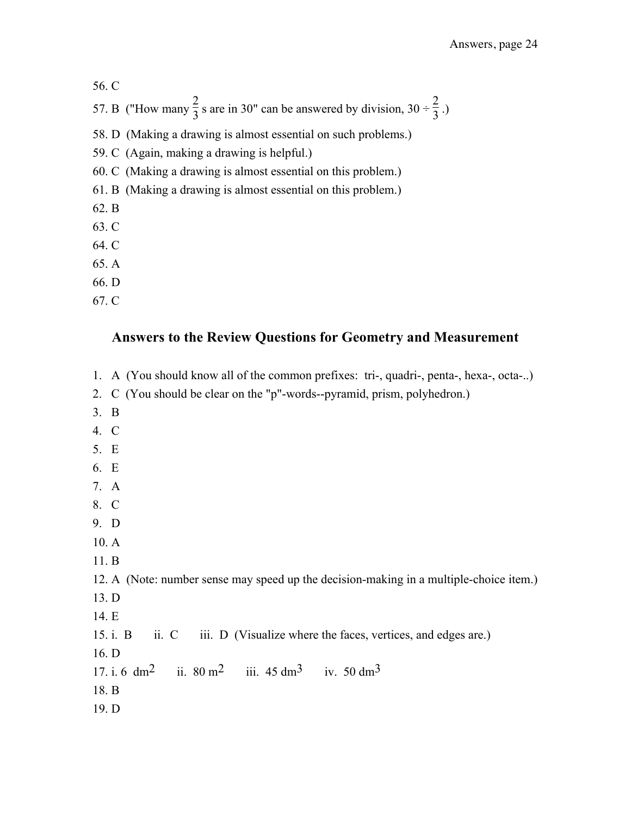56. C 57. B ("How many  $\frac{2}{3}$  s are in 30" can be answered by division, 30 ÷  $\frac{2}{3}$ .)

58. D (Making a drawing is almost essential on such problems.)

59. C (Again, making a drawing is helpful.)

60. C (Making a drawing is almost essential on this problem.)

61. B (Making a drawing is almost essential on this problem.)

62. B

- 63. C
- 64. C
- 65. A
- 66. D
- 67. C

#### **Answers to the Review Questions for Geometry and Measurement**

- 1. A (You should know all of the common prefixes: tri-, quadri-, penta-, hexa-, octa-..)
- 2. C (You should be clear on the "p"-words--pyramid, prism, polyhedron.)
- 3. B
- 4. C
- 5. E
- 6. E
- 7. A
- 8. C
- 9. D
- 10. A
- 11. B

12. A (Note: number sense may speed up the decision-making in a multiple-choice item.)

- 13. D
- 14. E

15. i. B ii. C iii. D (Visualize where the faces, vertices, and edges are.)

16. D

17. i. 6 dm<sup>2</sup> ii.  $80 \text{ m}^2$  iii.  $45 \text{ dm}^3$  iv.  $50 \text{ dm}^3$ 

- 18. B
- 19. D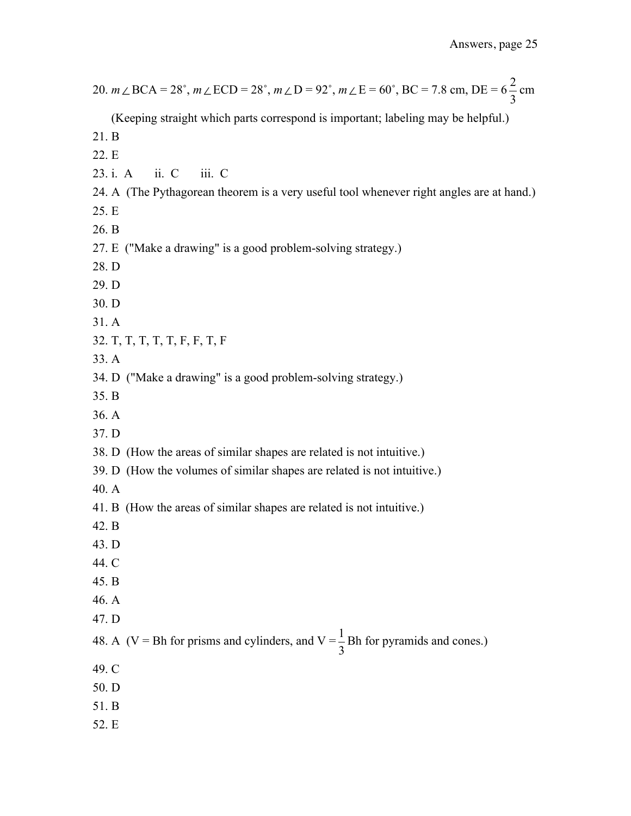| 20. $m \angle BCA = 28^\circ$ , $m \angle ECD = 28^\circ$ , $m \angle D = 92^\circ$ , $m \angle E = 60^\circ$ , BC = 7.8 cm, DE = $6\frac{2}{3}$ cm |
|-----------------------------------------------------------------------------------------------------------------------------------------------------|
| (Keeping straight which parts correspond is important; labeling may be helpful.)                                                                    |
| 21.B                                                                                                                                                |
| 22. E                                                                                                                                               |
| iii. C<br>$\overline{\text{ii}}$ . C<br>23. i. A                                                                                                    |
| 24. A (The Pythagorean theorem is a very useful tool whenever right angles are at hand.)                                                            |
| 25. E                                                                                                                                               |
| 26. B                                                                                                                                               |
| 27. E ("Make a drawing" is a good problem-solving strategy.)                                                                                        |
| 28. D                                                                                                                                               |
| 29. D                                                                                                                                               |
| 30. D                                                                                                                                               |
| 31.A                                                                                                                                                |
| 32. T, T, T, T, T, F, F, T, F                                                                                                                       |
| 33. A                                                                                                                                               |
| 34. D ("Make a drawing" is a good problem-solving strategy.)                                                                                        |
| 35. B                                                                                                                                               |
| 36. A                                                                                                                                               |
| 37. D                                                                                                                                               |
| 38. D (How the areas of similar shapes are related is not intuitive.)                                                                               |
| 39. D (How the volumes of similar shapes are related is not intuitive.)                                                                             |
| 40.A                                                                                                                                                |
| 41. B (How the areas of similar shapes are related is not intuitive.)                                                                               |
| 42. B                                                                                                                                               |
| 43. D                                                                                                                                               |
| 44. C                                                                                                                                               |
| 45. B                                                                                                                                               |
| 46. A                                                                                                                                               |
| 47. D                                                                                                                                               |
| 48. A (V = Bh for prisms and cylinders, and V = $\frac{1}{3}$ Bh for pyramids and cones.)                                                           |
| 49. C                                                                                                                                               |
| 50. D                                                                                                                                               |
| 51. B                                                                                                                                               |
| 52. E                                                                                                                                               |